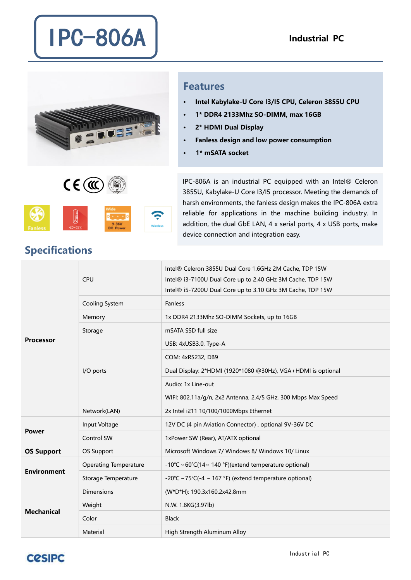

 $CE(\mathfrak{m})$ 

## Features

- · Intel Kabylake-U Core I3/I5 CPU, Celeron 3855U CPU
- · 1\* DDR4 2133Mhz SO-DIMM, max 16GB
- · 2\* HDMI Dual Display
- · Fanless design and low power consumption
- 1\* mSATA socket

IPC-806A is an industrial PC equipped with an Intel® Celeron 3855U, Kabylake-U Core I3/I5 processor. Meeting the demands of harsh environments, the fanless design makes the IPC-806A extra reliable for applications in the machine building industry. In addition, the dual GbE LAN, 4 x serial ports, 4 x USB ports, make device connection and integration easy.

| <b>Processor</b>   | <b>CPU</b>                   | Intel® Celeron 3855U Dual Core 1.6GHz 2M Cache, TDP 15W<br>Intel® i3-7100U Dual Core up to 2.40 GHz 3M Cache, TDP 15W<br>Intel® i5-7200U Dual Core up to 3.10 GHz 3M Cache, TDP 15W |
|--------------------|------------------------------|-------------------------------------------------------------------------------------------------------------------------------------------------------------------------------------|
|                    | Cooling System               | Fanless                                                                                                                                                                             |
|                    | Memory                       | 1x DDR4 2133Mhz SO-DIMM Sockets, up to 16GB                                                                                                                                         |
|                    | Storage                      | mSATA SSD full size                                                                                                                                                                 |
|                    | I/O ports                    | USB: 4xUSB3.0, Type-A                                                                                                                                                               |
|                    |                              | COM: 4xRS232, DB9                                                                                                                                                                   |
|                    |                              | Dual Display: 2*HDMI (1920*1080 @30Hz), VGA+HDMI is optional                                                                                                                        |
|                    |                              | Audio: 1x Line-out                                                                                                                                                                  |
|                    |                              | WIFI: 802.11a/g/n, 2x2 Antenna, 2.4/5 GHz, 300 Mbps Max Speed                                                                                                                       |
|                    | Network(LAN)                 | 2x Intel i211 10/100/1000Mbps Ethernet                                                                                                                                              |
| <b>Power</b>       | Input Voltage                | 12V DC (4 pin Aviation Connector), optional 9V-36V DC                                                                                                                               |
|                    | Control SW                   | 1xPower SW (Rear), AT/ATX optional                                                                                                                                                  |
| <b>OS Support</b>  | OS Support                   | Microsoft Windows 7/ Windows 8/ Windows 10/ Linux                                                                                                                                   |
| <b>Environment</b> | <b>Operating Temperature</b> | -10°C ~ 60°C(14~ 140 °F)(extend temperature optional)                                                                                                                               |
|                    | Storage Temperature          | -20°C ~ 75°C(-4 ~ 167 °F) (extend temperature optional)                                                                                                                             |
| <b>Mechanical</b>  | <b>Dimensions</b>            | (W*D*H): 190.3x160.2x42.8mm                                                                                                                                                         |
|                    | Weight                       | N.W. 1.8KG(3.97lb)                                                                                                                                                                  |
|                    | Color                        | <b>Black</b>                                                                                                                                                                        |
|                    | Material                     | High Strength Aluminum Alloy                                                                                                                                                        |

## Specifications

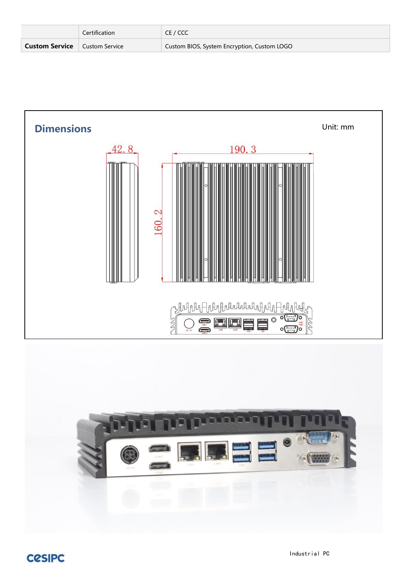|                       | Certification                        | CE / CCC                                    |
|-----------------------|--------------------------------------|---------------------------------------------|
| <b>Custom Service</b> | $^{\circ}$ Custom Service $^{\circ}$ | Custom BIOS, System Encryption, Custom LOGO |



CCSIPC Industrial PC